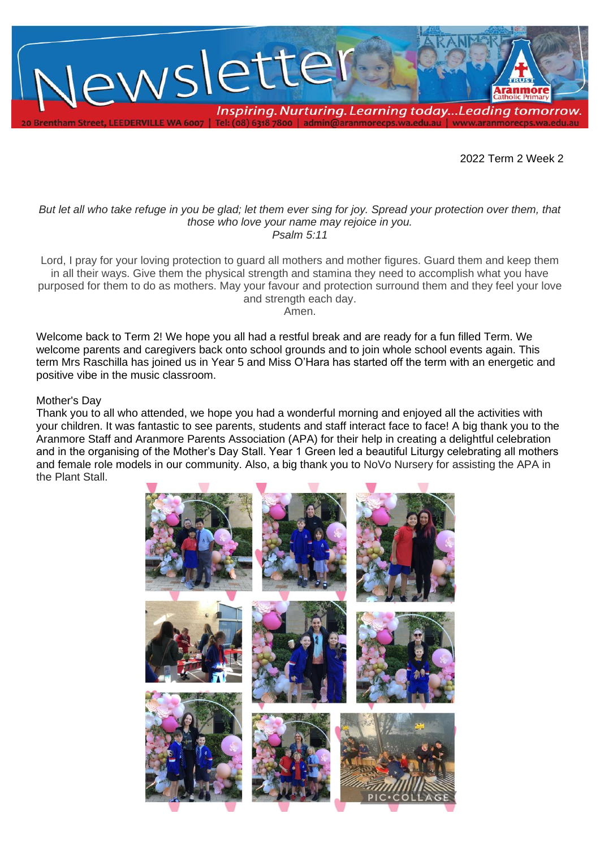

2022 Term 2 Week 2

#### *But let all who take refuge in you be glad; let them ever sing for joy. Spread your protection over them, that those who love your name may rejoice in you. Psalm 5:11*

Lord, I pray for your loving protection to guard all mothers and mother figures. Guard them and keep them in all their ways. Give them the physical strength and stamina they need to accomplish what you have purposed for them to do as mothers. May your favour and protection surround them and they feel your love and strength each day.

Amen.

Welcome back to Term 2! We hope you all had a restful break and are ready for a fun filled Term. We welcome parents and caregivers back onto school grounds and to join whole school events again. This term Mrs Raschilla has joined us in Year 5 and Miss O'Hara has started off the term with an energetic and positive vibe in the music classroom.

## Mother's Day

Thank you to all who attended, we hope you had a wonderful morning and enjoyed all the activities with your children. It was fantastic to see parents, students and staff interact face to face! A big thank you to the Aranmore Staff and Aranmore Parents Association (APA) for their help in creating a delightful celebration and in the organising of the Mother's Day Stall. Year 1 Green led a beautiful Liturgy celebrating all mothers and female role models in our community. Also, a big thank you to NoVo Nursery for assisting the APA in the Plant Stall.

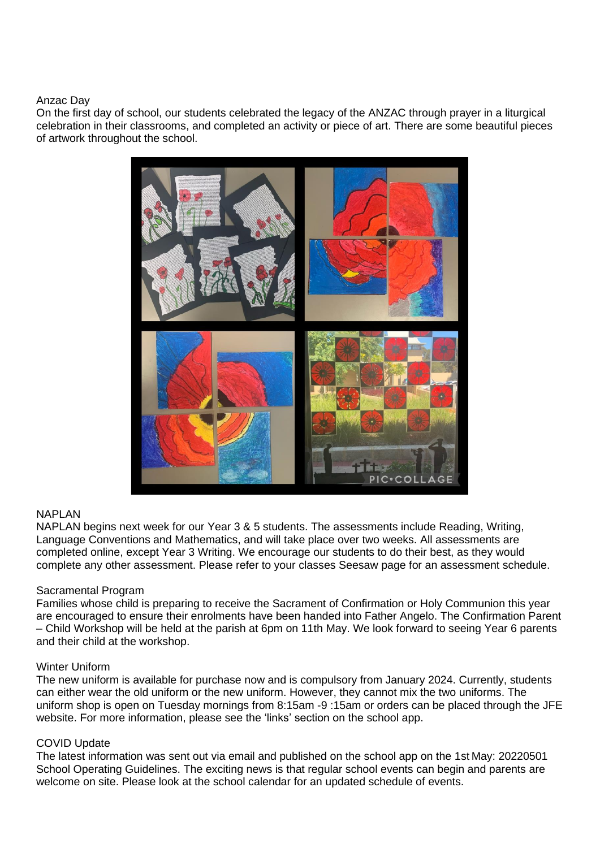#### Anzac Day

On the first day of school, our students celebrated the legacy of the ANZAC through prayer in a liturgical celebration in their classrooms, and completed an activity or piece of art. There are some beautiful pieces of artwork throughout the school.



# **NAPI AN**

NAPLAN begins next week for our Year 3 & 5 students. The assessments include Reading, Writing, Language Conventions and Mathematics, and will take place over two weeks. All assessments are completed online, except Year 3 Writing. We encourage our students to do their best, as they would complete any other assessment. Please refer to your classes Seesaw page for an assessment schedule.

## Sacramental Program

Families whose child is preparing to receive the Sacrament of Confirmation or Holy Communion this year are encouraged to ensure their enrolments have been handed into Father Angelo. The Confirmation Parent – Child Workshop will be held at the parish at 6pm on 11th May. We look forward to seeing Year 6 parents and their child at the workshop.

#### Winter Uniform

The new uniform is available for purchase now and is compulsory from January 2024. Currently, students can either wear the old uniform or the new uniform. However, they cannot mix the two uniforms. The uniform shop is open on Tuesday mornings from 8:15am -9 :15am or orders can be placed through the JFE website. For more information, please see the 'links' section on the school app.

## COVID Update

The latest information was sent out via email and published on the school app on the 1st May: 20220501 School Operating Guidelines. The exciting news is that regular school events can begin and parents are welcome on site. Please look at the school calendar for an updated schedule of events.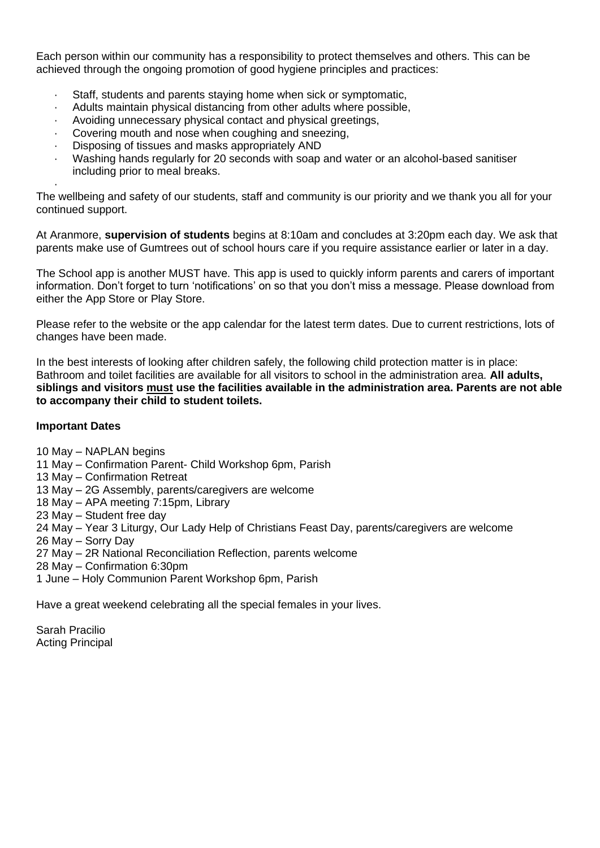Each person within our community has a responsibility to protect themselves and others. This can be achieved through the ongoing promotion of good hygiene principles and practices:

- Staff, students and parents staying home when sick or symptomatic,
- · Adults maintain physical distancing from other adults where possible,
- Avoiding unnecessary physical contact and physical greetings,
- Covering mouth and nose when coughing and sneezing,
- Disposing of tissues and masks appropriately AND
- · Washing hands regularly for 20 seconds with soap and water or an alcohol-based sanitiser including prior to meal breaks.

· The wellbeing and safety of our students, staff and community is our priority and we thank you all for your continued support.

At Aranmore, **supervision of students** begins at 8:10am and concludes at 3:20pm each day. We ask that parents make use of Gumtrees out of school hours care if you require assistance earlier or later in a day.

The School app is another MUST have. This app is used to quickly inform parents and carers of important information. Don't forget to turn 'notifications' on so that you don't miss a message. Please download from either the App Store or Play Store.

Please refer to the website or the app calendar for the latest term dates. Due to current restrictions, lots of changes have been made.

In the best interests of looking after children safely, the following child protection matter is in place: Bathroom and toilet facilities are available for all visitors to school in the administration area. **All adults, siblings and visitors must use the facilities available in the administration area. Parents are not able to accompany their child to student toilets.**

## **Important Dates**

- 10 May NAPLAN begins
- 11 May Confirmation Parent- Child Workshop 6pm, Parish
- 13 May Confirmation Retreat
- 13 May 2G Assembly, parents/caregivers are welcome
- 18 May APA meeting 7:15pm, Library
- 23 May Student free day
- 24 May Year 3 Liturgy, Our Lady Help of Christians Feast Day, parents/caregivers are welcome
- 26 May Sorry Day
- 27 May 2R National Reconciliation Reflection, parents welcome
- 28 May Confirmation 6:30pm
- 1 June Holy Communion Parent Workshop 6pm, Parish

Have a great weekend celebrating all the special females in your lives.

Sarah Pracilio Acting Principal